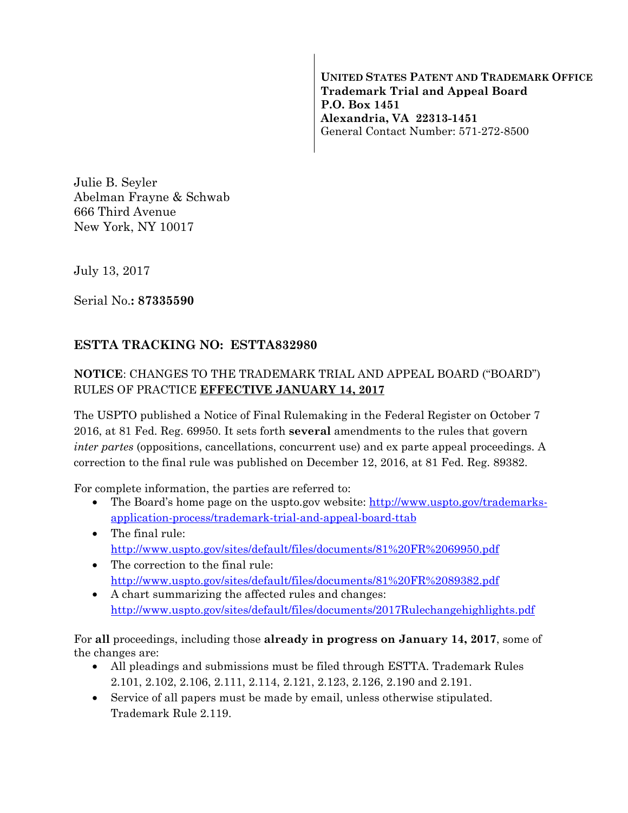**UNITED STATES PATENT AND TRADEMARK OFFICE Trademark Trial and Appeal Board P.O. Box 1451 Alexandria, VA 22313-1451**  General Contact Number: 571-272-8500

Julie B. Seyler Abelman Frayne & Schwab 666 Third Avenue New York, NY 10017

July 13, 2017

Serial No.**: 87335590** 

## **ESTTA TRACKING NO: ESTTA832980**

## **NOTICE**: CHANGES TO THE TRADEMARK TRIAL AND APPEAL BOARD ("BOARD") RULES OF PRACTICE **EFFECTIVE JANUARY 14, 2017**

The USPTO published a Notice of Final Rulemaking in the Federal Register on October 7 2016, at 81 Fed. Reg. 69950. It sets forth **several** amendments to the rules that govern *inter partes* (oppositions, cancellations, concurrent use) and ex parte appeal proceedings. A correction to the final rule was published on December 12, 2016, at 81 Fed. Reg. 89382.

For complete information, the parties are referred to:

- The Board's home page on the uspto.gov website: http://www.uspto.gov/trademarksapplication-process/trademark-trial-and-appeal-board-ttab
- The final rule: http://www.uspto.gov/sites/default/files/documents/81%20FR%2069950.pdf
- The correction to the final rule: http://www.uspto.gov/sites/default/files/documents/81%20FR%2089382.pdf
- A chart summarizing the affected rules and changes: http://www.uspto.gov/sites/default/files/documents/2017Rulechangehighlights.pdf

For **all** proceedings, including those **already in progress on January 14, 2017**, some of the changes are:

- All pleadings and submissions must be filed through ESTTA. Trademark Rules 2.101, 2.102, 2.106, 2.111, 2.114, 2.121, 2.123, 2.126, 2.190 and 2.191.
- Service of all papers must be made by email, unless otherwise stipulated. Trademark Rule 2.119.